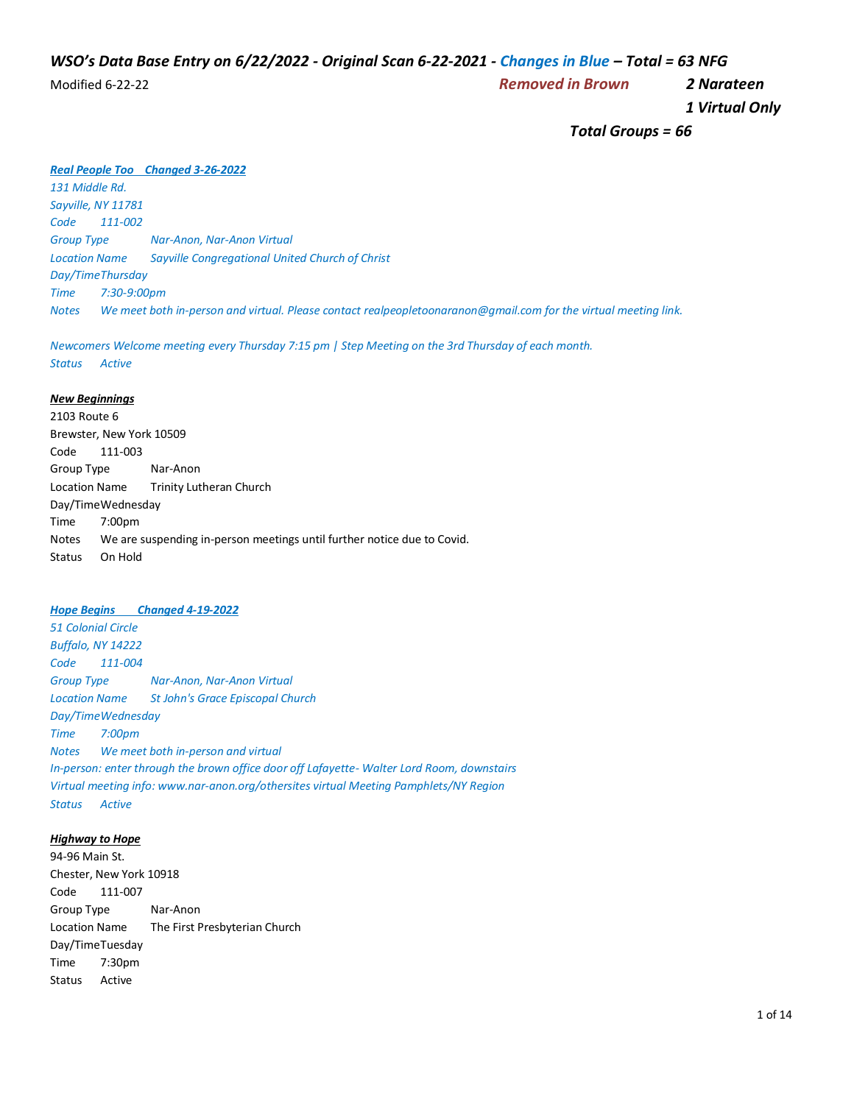# *WSO's Data Base Entry on 6/22/2022 - Original Scan 6-22-2021 - Changes in Blue – Total = 63 NFG*

Modified 6-22-22 *Removed in Brown 2 Narateen*

 *1 Virtual Only*

 *Total Groups = 66*

#### *Real People Too Changed 3-26-2022*

*131 Middle Rd. Sayville, NY 11781 Code 111-002 Group Type Nar-Anon, Nar-Anon Virtual Location Name Sayville Congregational United Church of Christ Day/TimeThursday Time 7:30-9:00pm Notes We meet both in-person and virtual. Please contact realpeopletoonaranon@gmail.com for the virtual meeting link.*

*Newcomers Welcome meeting every Thursday 7:15 pm | Step Meeting on the 3rd Thursday of each month. Status Active*

#### *New Beginnings*

2103 Route 6 Brewster, New York 10509 Code 111-003 Group Type Nar-Anon Location Name Trinity Lutheran Church Day/TimeWednesday Time 7:00pm Notes We are suspending in-person meetings until further notice due to Covid. Status On Hold

#### *Hope Begins Changed 4-19-2022*

*51 Colonial Circle Buffalo, NY 14222 Code 111-004 Group Type Nar-Anon, Nar-Anon Virtual Location Name St John's Grace Episcopal Church Day/TimeWednesday Time 7:00pm Notes We meet both in-person and virtual In-person: enter through the brown office door off Lafayette- Walter Lord Room, downstairs Virtual meeting info: www.nar-anon.org/othersites virtual Meeting Pamphlets/NY Region Status Active*

### *Highway to Hope*

94-96 Main St. Chester, New York 10918 Code 111-007 Group Type Nar-Anon Location Name The First Presbyterian Church Day/TimeTuesday Time 7:30pm Status Active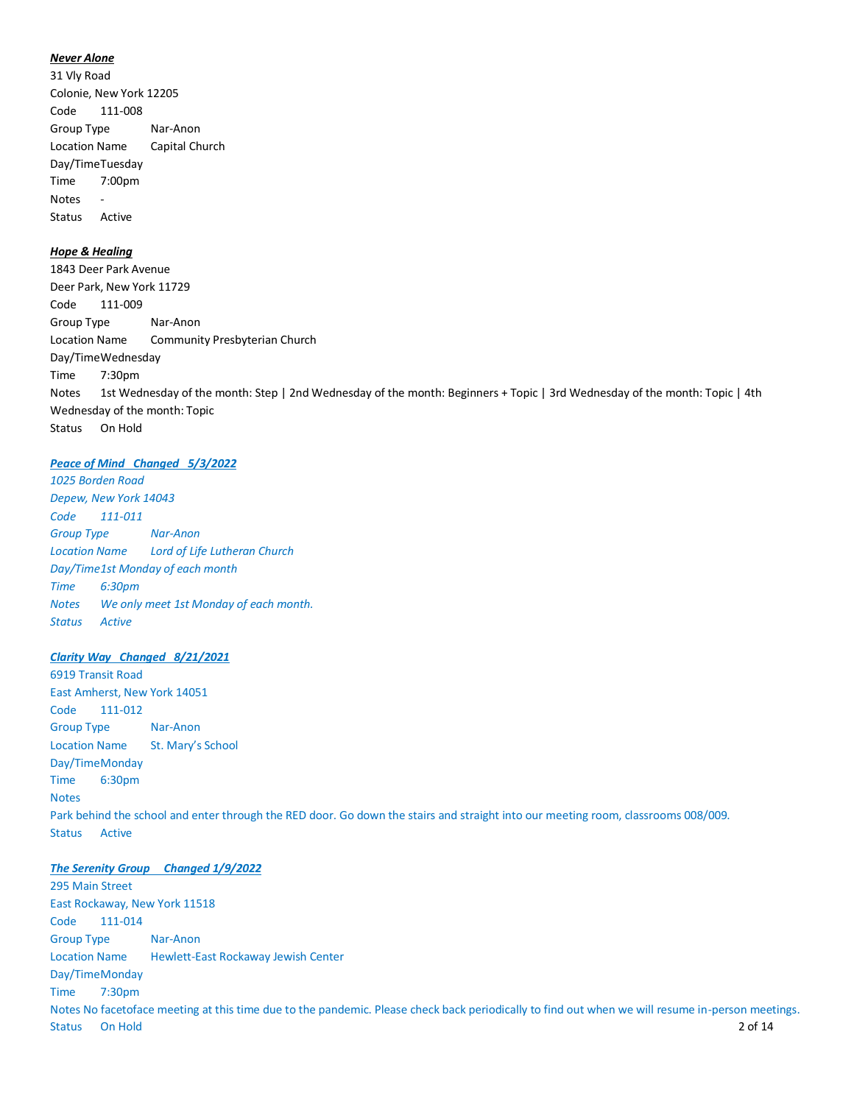#### *Never Alone*

31 Vly Road Colonie, New York 12205 Code 111-008 Group Type Nar-Anon Location Name Capital Church Day/TimeTuesday Time 7:00pm Notes - Status Active

# *Hope & Healing*

1843 Deer Park Avenue Deer Park, New York 11729 Code 111-009 Group Type Nar-Anon Location Name Community Presbyterian Church Day/TimeWednesday Time 7:30pm Notes 1st Wednesday of the month: Step | 2nd Wednesday of the month: Beginners + Topic | 3rd Wednesday of the month: Topic | 4th Wednesday of the month: Topic Status On Hold

#### *Peace of Mind Changed 5/3/2022*

*1025 Borden Road Depew, New York 14043 Code 111-011 Group Type Nar-Anon Location Name Lord of Life Lutheran Church Day/Time1st Monday of each month Time 6:30pm Notes We only meet 1st Monday of each month. Status Active*

#### *Clarity Way Changed 8/21/2021*

6919 Transit Road East Amherst, New York 14051 Code 111-012 Group Type Nar-Anon Location Name St. Mary's School Day/TimeMonday Time 6:30pm **Notes** Park behind the school and enter through the RED door. Go down the stairs and straight into our meeting room, classrooms 008/009. Status Active

#### *The Serenity Group Changed 1/9/2022*

295 Main Street East Rockaway, New York 11518 Code 111-014 Group Type Nar-Anon Location Name Hewlett-East Rockaway Jewish Center Day/TimeMonday Time 7:30pm Notes No facetoface meeting at this time due to the pandemic. Please check back periodically to find out when we will resume in-person meetings. Status On Hold 2 of 14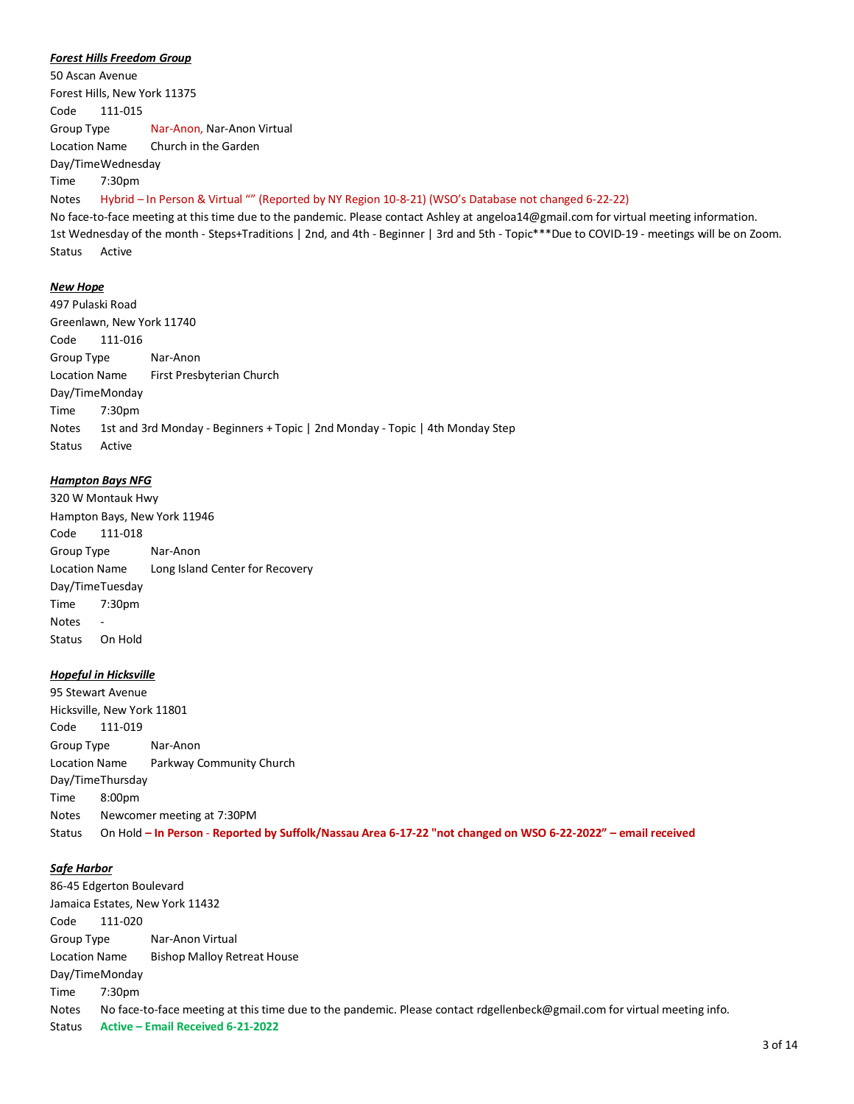#### *Forest Hills Freedom Group*

50 Ascan Avenue Forest Hills, New York 11375 Code 111-015 Group Type Nar-Anon, Nar-Anon Virtual Location Name Church in the Garden Day/TimeWednesday

Time 7:30pm

#### Notes Hybrid – In Person & Virtual "" (Reported by NY Region 10-8-21) (WSO's Database not changed 6-22-22)

No face-to-face meeting at this time due to the pandemic. Please contact Ashley at angeloa14@gmail.com for virtual meeting information. 1st Wednesday of the month - Steps+Traditions | 2nd, and 4th - Beginner | 3rd and 5th - Topic\*\*\*Due to COVID-19 - meetings will be on Zoom. Status Active

#### *New Hope*

497 Pulaski Road Greenlawn, New York 11740 Code 111-016 Group Type Nar-Anon Location Name First Presbyterian Church Day/TimeMonday Time 7:30pm Notes 1st and 3rd Monday - Beginners + Topic | 2nd Monday - Topic | 4th Monday Step Status Active

#### *Hampton Bays NFG*

320 W Montauk Hwy Hampton Bays, New York 11946 Code 111-018 Group Type Nar-Anon Location Name Long Island Center for Recovery Day/TimeTuesday Time 7:30pm **Notes** Status On Hold

#### *Hopeful in Hicksville*

95 Stewart Avenue Hicksville, New York 11801 Code 111-019 Group Type Nar-Anon Location Name Parkway Community Church Day/TimeThursday Time 8:00pm Notes Newcomer meeting at 7:30PM Status On Hold **– In Person** - **Reported by Suffolk/Nassau Area 6-17-22 "not changed on WSO 6-22-2022" – email received**

#### *Safe Harbor*

86-45 Edgerton Boulevard Jamaica Estates, New York 11432 Code 111-020 Group Type Nar-Anon Virtual Location Name Bishop Malloy Retreat House Day/TimeMonday Time 7:30pm Notes No face-to-face meeting at this time due to the pandemic. Please contact rdgellenbeck@gmail.com for virtual meeting info. Status **Active – Email Received 6-21-2022**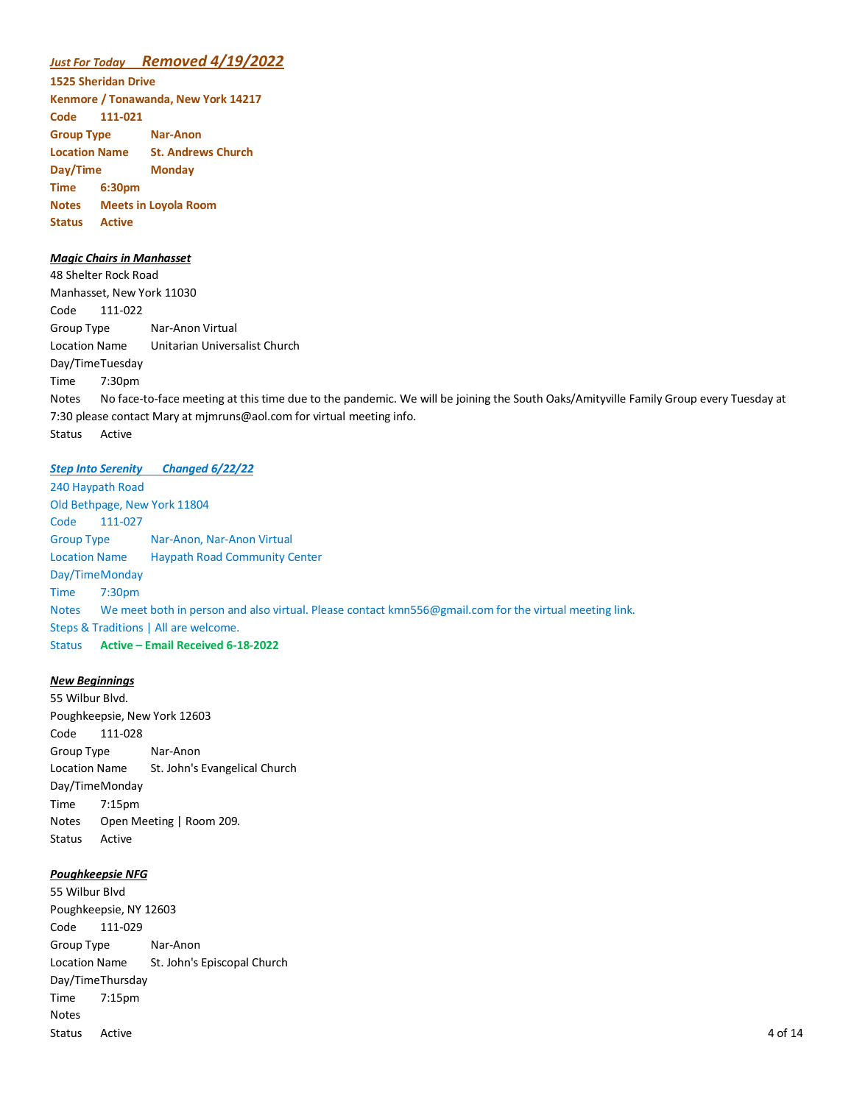# *Just For Today Removed 4/19/2022*

**1525 Sheridan Drive Kenmore / Tonawanda, New York 14217 Code 111-021 Group Type Nar-Anon Location Name St. Andrews Church Day/Time Monday Time 6:30pm Notes Meets in Loyola Room Status Active**

#### *Magic Chairs in Manhasset*

48 Shelter Rock Road Manhasset, New York 11030 Code 111-022 Group Type Nar-Anon Virtual Location Name Unitarian Universalist Church Day/TimeTuesday Time 7:30pm Notes No face-to-face meeting at this time due to the pandemic. We will be joining the South Oaks/Amityville Family Group every Tuesday at 7:30 please contact Mary at mjmruns@aol.com for virtual meeting info. Status Active

#### *Step Into Serenity Changed 6/22/22*

240 Haypath Road Old Bethpage, New York 11804 Code 111-027 Group Type Nar-Anon, Nar-Anon Virtual Location Name Haypath Road Community Center Day/TimeMonday Time 7:30pm Notes We meet both in person and also virtual. Please contact kmn556@gmail.com for the virtual meeting link. Steps & Traditions | All are welcome. Status **Active – Email Received 6-18-2022**

#### *New Beginnings*

55 Wilbur Blvd. Poughkeepsie, New York 12603 Code 111-028 Group Type Nar-Anon Location Name St. John's Evangelical Church Day/TimeMonday Time 7:15pm Notes Open Meeting | Room 209. Status Active

# *Poughkeepsie NFG*

55 Wilbur Blvd Poughkeepsie, NY 12603 Code 111-029 Group Type Nar-Anon Location Name St. John's Episcopal Church Day/TimeThursday Time 7:15pm Notes Status Active 4 of 14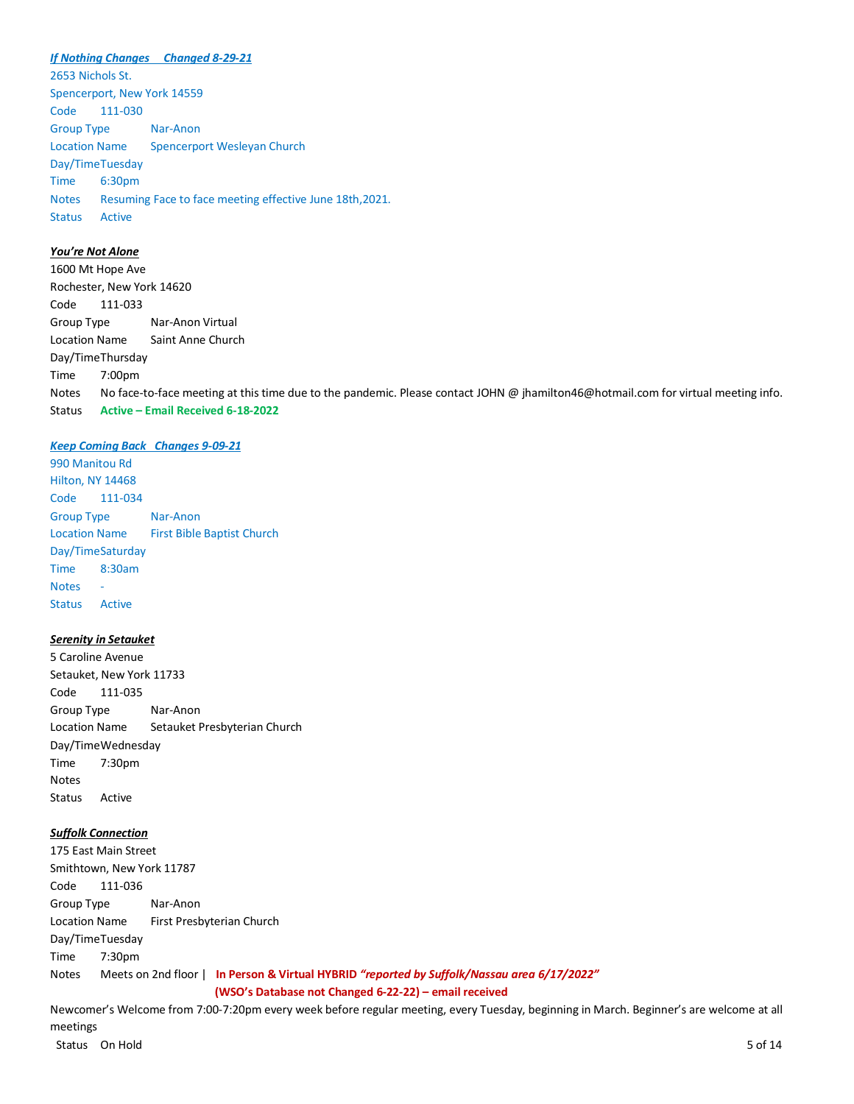*If Nothing Changes Changed 8-29-21* 2653 Nichols St. Spencerport, New York 14559 Code 111-030 Group Type Nar-Anon Location Name Spencerport Wesleyan Church Day/TimeTuesday Time 6:30pm Notes Resuming Face to face meeting effective June 18th,2021. Status Active

# *You're Not Alone*

1600 Mt Hope Ave Rochester, New York 14620 Code 111-033 Group Type Nar-Anon Virtual Location Name Saint Anne Church Day/TimeThursday Time 7:00pm Notes No face-to-face meeting at this time due to the pandemic. Please contact JOHN @ jhamilton46@hotmail.com for virtual meeting info. Status **Active – Email Received 6-18-2022**

#### *Keep Coming Back Changes 9-09-21*

990 Manitou Rd Hilton, NY 14468 Code 111-034 Group Type Nar-Anon Location Name First Bible Baptist Church Day/TimeSaturday Time 8:30am **Notes** Status Active

#### *Serenity in Setauket*

5 Caroline Avenue Setauket, New York 11733 Code 111-035 Group Type Nar-Anon Location Name Setauket Presbyterian Church Day/TimeWednesday Time 7:30pm Notes Status Active

# *Suffolk Connection*

175 East Main Street Smithtown, New York 11787 Code 111-036 Group Type Nar-Anon Location Name First Presbyterian Church Day/TimeTuesday Time 7:30pm Notes Meets on 2nd floor | **In Person & Virtual HYBRID** *"reported by Suffolk/Nassau area 6/17/2022"* **(WSO's Database not Changed 6-22-22) – email received**

Newcomer's Welcome from 7:00-7:20pm every week before regular meeting, every Tuesday, beginning in March. Beginner's are welcome at all meetings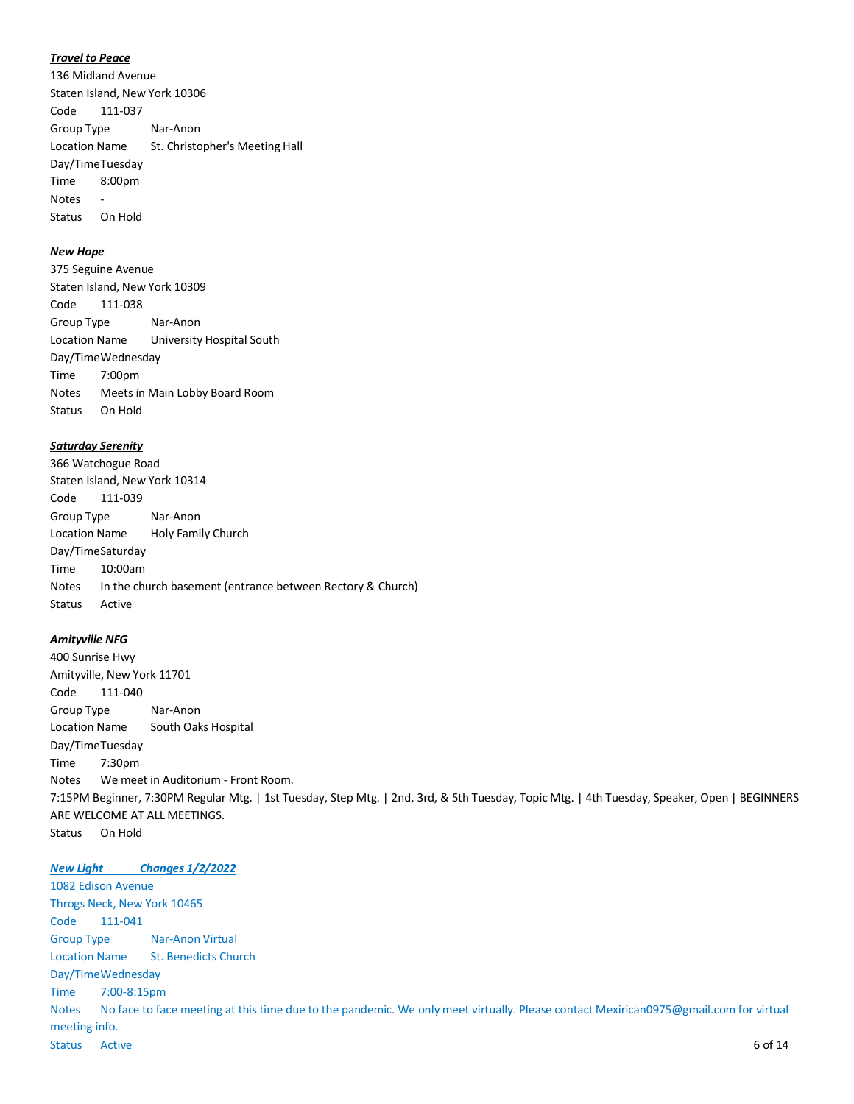#### *Travel to Peace*

136 Midland Avenue Staten Island, New York 10306 Code 111-037 Group Type Nar-Anon Location Name St. Christopher's Meeting Hall Day/TimeTuesday Time 8:00pm Notes - Status On Hold

# *New Hope*

375 Seguine Avenue Staten Island, New York 10309 Code 111-038 Group Type Nar-Anon Location Name University Hospital South Day/TimeWednesday Time 7:00pm Notes Meets in Main Lobby Board Room Status On Hold

#### *Saturday Serenity*

366 Watchogue Road Staten Island, New York 10314 Code 111-039 Group Type Nar-Anon Location Name Holy Family Church Day/TimeSaturday Time 10:00am Notes In the church basement (entrance between Rectory & Church) Status Active

#### *Amityville NFG*

400 Sunrise Hwy Amityville, New York 11701 Code 111-040 Group Type Nar-Anon Location Name South Oaks Hospital Day/TimeTuesday Time 7:30pm Notes We meet in Auditorium - Front Room. 7:15PM Beginner, 7:30PM Regular Mtg. | 1st Tuesday, Step Mtg. | 2nd, 3rd, & 5th Tuesday, Topic Mtg. | 4th Tuesday, Speaker, Open | BEGINNERS ARE WELCOME AT ALL MEETINGS. Status On Hold

*New Light Changes 1/2/2022* 1082 Edison Avenue Throgs Neck, New York 10465 Code 111-041 Group Type Nar-Anon Virtual Location Name St. Benedicts Church Day/TimeWednesday Time 7:00-8:15pm Notes No face to face meeting at this time due to the pandemic. We only meet virtually. Please contact Mexirican0975@gmail.com for virtual meeting info. Status Active 6 of 14 and 20 of 24 and 20 of 24 and 20 of 24 and 20 of 24 and 20 of 24 and 20 of 24 and 20 of 24 and 20 of 24 and 20 of 24 and 20 of 24 and 20 of 24 and 20 of 24 and 20 of 24 and 20 of 24 and 20 of 24 and 2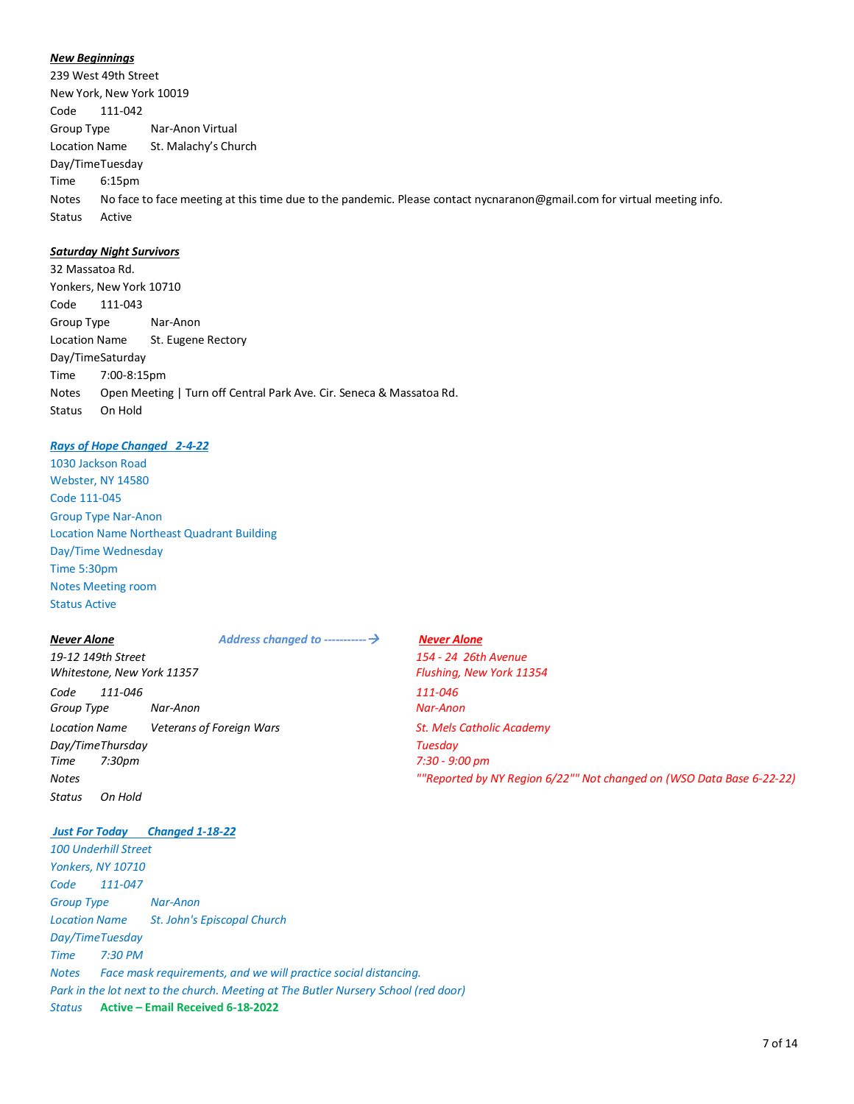#### *New Beginnings*

239 West 49th Street New York, New York 10019 Code 111-042 Group Type Nar-Anon Virtual Location Name St. Malachy's Church Day/TimeTuesday Time 6:15pm Notes No face to face meeting at this time due to the pandemic. Please contact nycnaranon@gmail.com for virtual meeting info. Status Active

## *Saturday Night Survivors*

32 Massatoa Rd. Yonkers, New York 10710 Code 111-043 Group Type Nar-Anon Location Name St. Eugene Rectory Day/TimeSaturday Time 7:00-8:15pm Notes Open Meeting | Turn off Central Park Ave. Cir. Seneca & Massatoa Rd. Status On Hold

#### *Rays of Hope Changed 2-4-22*

1030 Jackson Road Webster, NY 14580 Code 111-045 Group Type Nar-Anon Location Name Northeast Quadrant Building Day/Time Wednesday Time 5:30pm Notes Meeting room Status Active

*19-12 149th Street 154 - 24 26th Avenue Whitestone, New York 11357 Flushing, New York 11354 Code 111-046 111-046 Group Type Nar-Anon Nar-Anon* **Location Name Veterans of Foreign Wars St. Mels Catholic Academy** *Day/TimeThursday Tuesday Time 7:30pm 7:30 - 9:00 pm Status On Hold*

# *Just For Today Changed 1-18-22*

*100 Underhill Street Yonkers, NY 10710 Code 111-047 Group Type Nar-Anon Location Name St. John's Episcopal Church Day/TimeTuesday Time 7:30 PM Notes Face mask requirements, and we will practice social distancing. Park in the lot next to the church. Meeting at The Butler Nursery School (red door) Status* **Active – Email Received 6-18-2022**

# *Never Alone Address changed to -----------*→ *Never Alone Notes ""Reported by NY Region 6/22"" Not changed on (WSO Data Base 6-22-22)*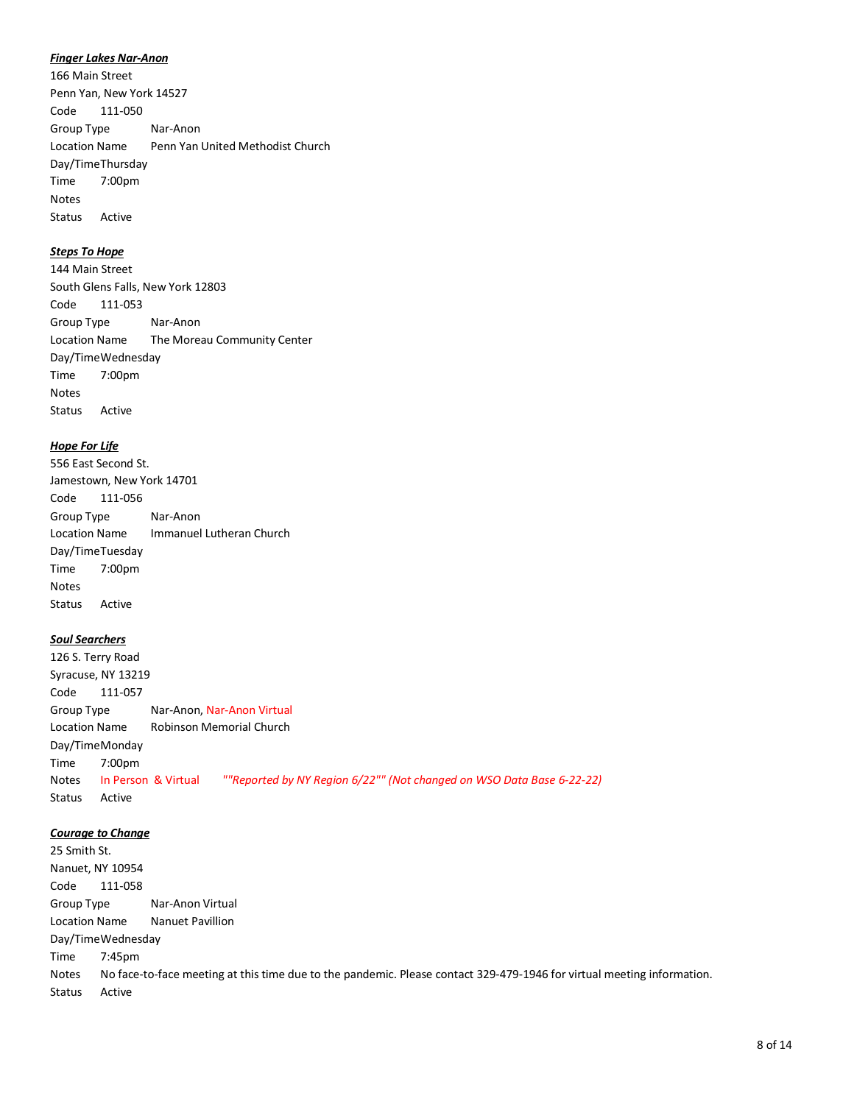#### *Finger Lakes Nar-Anon*

166 Main Street Penn Yan, New York 14527 Code 111-050 Group Type Nar-Anon Location Name Penn Yan United Methodist Church Day/TimeThursday Time 7:00pm Notes Status Active

# *Steps To Hope*

144 Main Street South Glens Falls, New York 12803 Code 111-053 Group Type Nar-Anon Location Name The Moreau Community Center Day/TimeWednesday Time 7:00pm Notes Status Active

#### *Hope For Life*

556 East Second St. Jamestown, New York 14701 Code 111-056 Group Type Nar-Anon Location Name Immanuel Lutheran Church Day/TimeTuesday Time 7:00pm Notes Status Active

#### *Soul Searchers*

126 S. Terry Road Syracuse, NY 13219 Code 111-057 Group Type Nar-Anon, Nar-Anon Virtual Location Name Robinson Memorial Church Day/TimeMonday Time 7:00pm Notes In Person & Virtual *""Reported by NY Region 6/22"" (Not changed on WSO Data Base 6-22-22)* Status Active

#### *Courage to Change*

25 Smith St. Nanuet, NY 10954 Code 111-058 Group Type Nar-Anon Virtual Location Name Nanuet Pavillion Day/TimeWednesday Time 7:45pm Notes No face-to-face meeting at this time due to the pandemic. Please contact 329-479-1946 for virtual meeting information. Status Active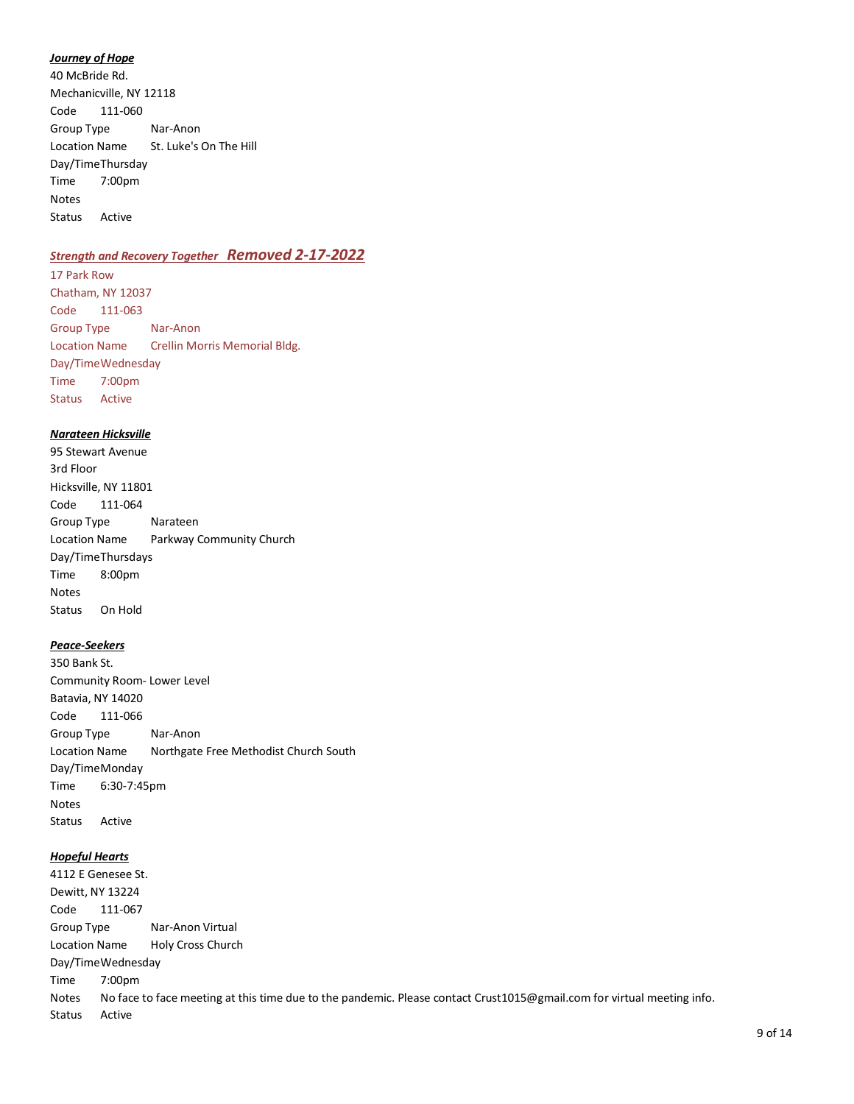#### *Journey of Hope*

40 McBride Rd. Mechanicville, NY 12118 Code 111-060 Group Type Nar-Anon Location Name St. Luke's On The Hill Day/TimeThursday Time 7:00pm Notes Status Active

# *Strength and Recovery Together Removed 2-17-2022*

17 Park Row Chatham, NY 12037 Code 111-063 Group Type Nar-Anon Location Name Crellin Morris Memorial Bldg. Day/TimeWednesday Time 7:00pm Status Active

#### *Narateen Hicksville*

95 Stewart Avenue 3rd Floor Hicksville, NY 11801 Code 111-064 Group Type Narateen Location Name Parkway Community Church Day/TimeThursdays Time 8:00pm Notes Status On Hold

# *Peace-Seekers*

350 Bank St. Community Room- Lower Level Batavia, NY 14020 Code 111-066 Group Type Nar-Anon Location Name Northgate Free Methodist Church South Day/TimeMonday Time 6:30-7:45pm Notes Status Active

### *Hopeful Hearts*

4112 E Genesee St. Dewitt, NY 13224 Code 111-067 Group Type Nar-Anon Virtual Location Name Holy Cross Church Day/TimeWednesday Time 7:00pm Notes No face to face meeting at this time due to the pandemic. Please contact Crust1015@gmail.com for virtual meeting info. Status Active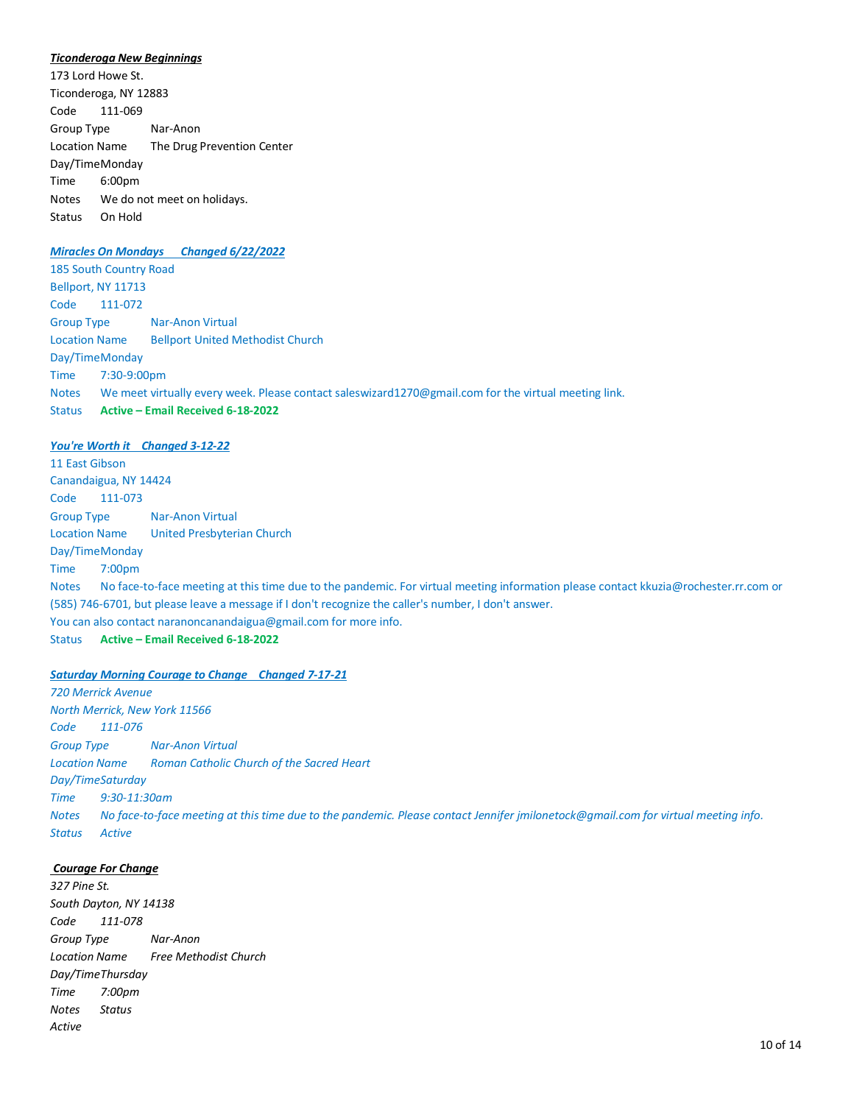#### *Ticonderoga New Beginnings*

173 Lord Howe St. Ticonderoga, NY 12883 Code 111-069 Group Type Nar-Anon Location Name The Drug Prevention Center Day/TimeMonday Time 6:00pm Notes We do not meet on holidays. Status On Hold

# *Miracles On Mondays Changed 6/22/2022*

185 South Country Road Bellport, NY 11713 Code 111-072 Group Type Nar-Anon Virtual Location Name Bellport United Methodist Church Day/TimeMonday Time 7:30-9:00pm Notes We meet virtually every week. Please contact saleswizard1270@gmail.com for the virtual meeting link. Status **Active – Email Received 6-18-2022**

#### *You're Worth it Changed 3-12-22*

11 East Gibson Canandaigua, NY 14424 Code 111-073 Group Type Nar-Anon Virtual Location Name United Presbyterian Church Day/TimeMonday Time 7:00pm Notes No face-to-face meeting at this time due to the pandemic. For virtual meeting information please contact kkuzia@rochester.rr.com or (585) 746-6701, but please leave a message if I don't recognize the caller's number, I don't answer. You can also contact naranoncanandaigua@gmail.com for more info. Status **Active – Email Received 6-18-2022**

#### *Saturday Morning Courage to Change Changed 7-17-21*

*720 Merrick Avenue North Merrick, New York 11566 Code 111-076 Group Type Nar-Anon Virtual Location Name Roman Catholic Church of the Sacred Heart Day/TimeSaturday Time 9:30-11:30am Notes No face-to-face meeting at this time due to the pandemic. Please contact Jennifer jmilonetock@gmail.com for virtual meeting info. Status Active*

# *Courage For Change*

*327 Pine St. South Dayton, NY 14138 Code 111-078 Group Type Nar-Anon Location Name Free Methodist Church Day/TimeThursday Time 7:00pm Notes Status Active*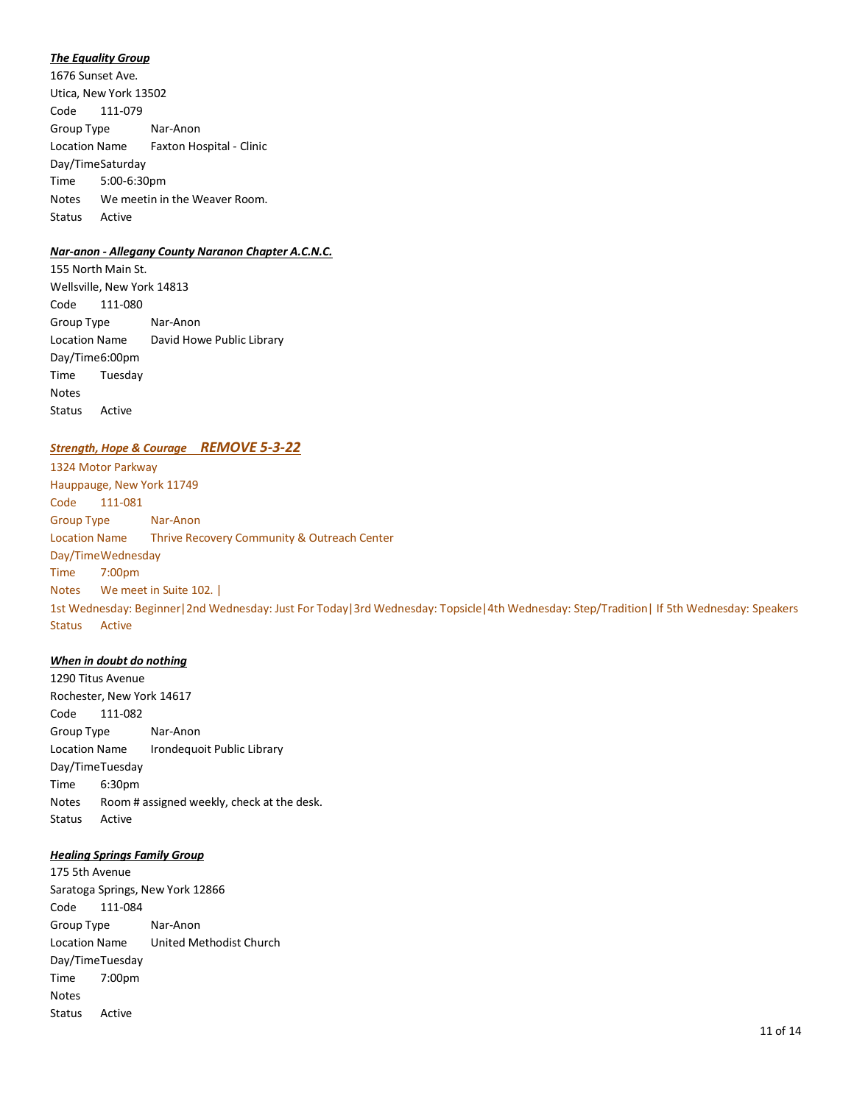#### *The Equality Group*

1676 Sunset Ave. Utica, New York 13502 Code 111-079 Group Type Nar-Anon Location Name Faxton Hospital - Clinic Day/TimeSaturday Time 5:00-6:30pm Notes We meetin in the Weaver Room. Status Active

## *Nar-anon - Allegany County Naranon Chapter A.C.N.C.*

155 North Main St. Wellsville, New York 14813 Code 111-080 Group Type Nar-Anon Location Name David Howe Public Library Day/Time6:00pm Time Tuesday Notes Status Active

# *Strength, Hope & Courage REMOVE 5-3-22*

1324 Motor Parkway Hauppauge, New York 11749 Code 111-081 Group Type Nar-Anon Location Name Thrive Recovery Community & Outreach Center Day/TimeWednesday Time 7:00pm Notes We meet in Suite 102. | 1st Wednesday: Beginner|2nd Wednesday: Just For Today|3rd Wednesday: Topsicle|4th Wednesday: Step/Tradition| If 5th Wednesday: Speakers Status Active

#### *When in doubt do nothing*

1290 Titus Avenue Rochester, New York 14617 Code 111-082 Group Type Nar-Anon Location Name Irondequoit Public Library Day/TimeTuesday Time 6:30pm Notes Room # assigned weekly, check at the desk. Status Active

# *Healing Springs Family Group*

175 5th Avenue Saratoga Springs, New York 12866 Code 111-084 Group Type Nar-Anon Location Name United Methodist Church Day/TimeTuesday Time 7:00pm Notes Status Active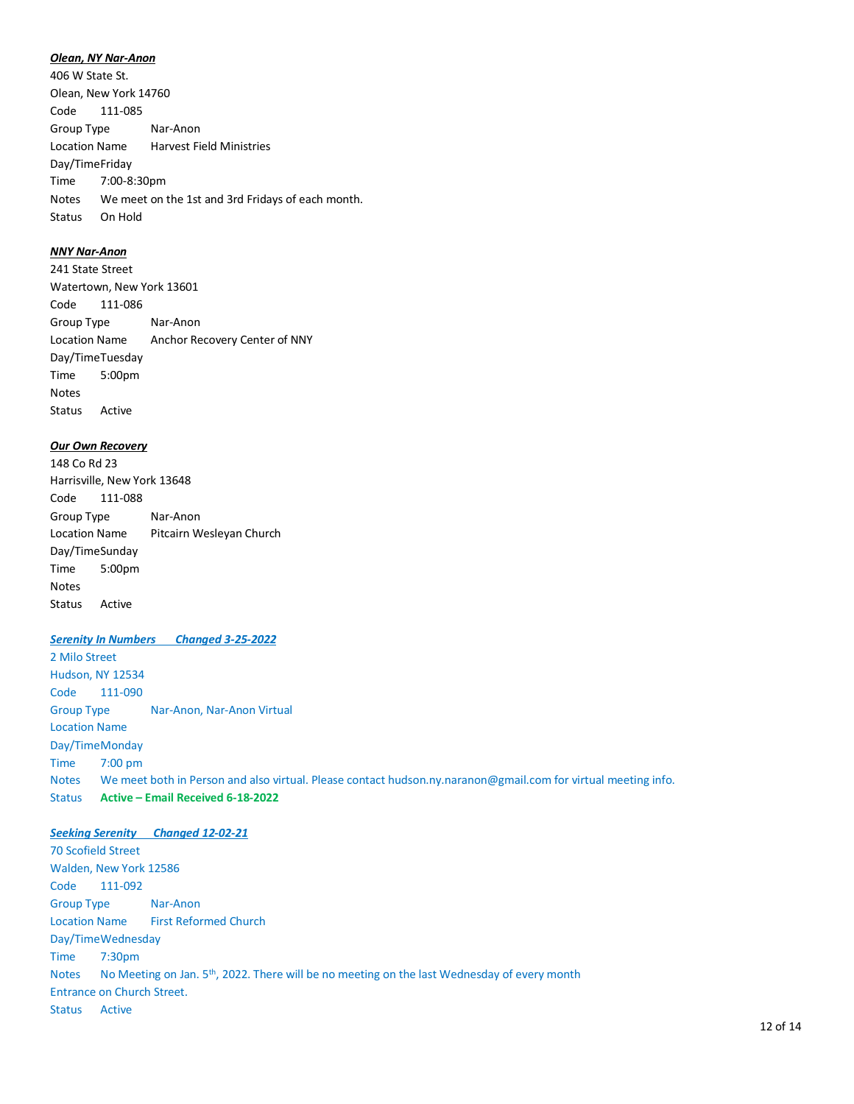#### *Olean, NY Nar-Anon*

406 W State St. Olean, New York 14760 Code 111-085 Group Type Nar-Anon Location Name Harvest Field Ministries Day/TimeFriday Time 7:00-8:30pm Notes We meet on the 1st and 3rd Fridays of each month. Status On Hold

# *NNY Nar-Anon*

241 State Street Watertown, New York 13601 Code 111-086 Group Type Nar-Anon Location Name Anchor Recovery Center of NNY Day/TimeTuesday Time 5:00pm Notes Status Active

#### *Our Own Recovery*

148 Co Rd 23 Harrisville, New York 13648 Code 111-088 Group Type Nar-Anon Location Name Pitcairn Wesleyan Church Day/TimeSunday Time 5:00pm Notes Status Active

#### *Serenity In Numbers Changed 3-25-2022*

2 Milo Street Hudson, NY 12534 Code 111-090 Group Type Nar-Anon, Nar-Anon Virtual Location Name Day/TimeMonday Time 7:00 pm Notes We meet both in Person and also virtual. Please contact hudson.ny.naranon@gmail.com for virtual meeting info. Status **Active – Email Received 6-18-2022**

#### *Seeking Serenity Changed 12-02-21*

70 Scofield Street Walden, New York 12586 Code 111-092 Group Type Nar-Anon Location Name First Reformed Church Day/TimeWednesday Time 7:30pm Notes No Meeting on Jan. 5<sup>th</sup>, 2022. There will be no meeting on the last Wednesday of every month Entrance on Church Street. Status Active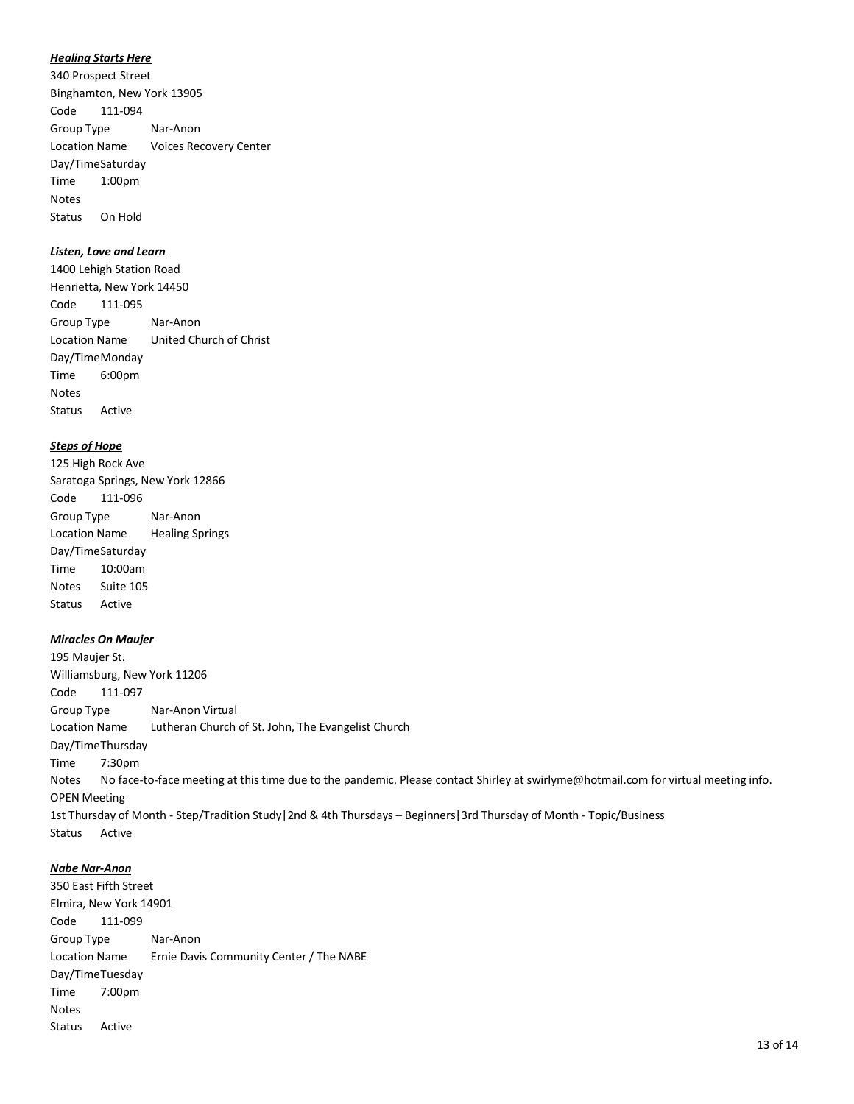#### *Healing Starts Here*

340 Prospect Street Binghamton, New York 13905 Code 111-094 Group Type Nar-Anon Location Name Voices Recovery Center Day/TimeSaturday Time 1:00pm Notes Status On Hold

# *Listen, Love and Learn*

1400 Lehigh Station Road Henrietta, New York 14450 Code 111-095 Group Type Nar-Anon Location Name United Church of Christ Day/TimeMonday Time 6:00pm Notes Status Active

#### *Steps of Hope*

125 High Rock Ave Saratoga Springs, New York 12866 Code 111-096 Group Type Nar-Anon Location Name Healing Springs Day/TimeSaturday Time 10:00am Notes Suite 105 Status Active

#### *Miracles On Maujer*

195 Maujer St. Williamsburg, New York 11206 Code 111-097 Group Type Nar-Anon Virtual Location Name Lutheran Church of St. John, The Evangelist Church Day/TimeThursday Time 7:30pm Notes No face-to-face meeting at this time due to the pandemic. Please contact Shirley at swirlyme@hotmail.com for virtual meeting info. OPEN Meeting 1st Thursday of Month - Step/Tradition Study|2nd & 4th Thursdays – Beginners|3rd Thursday of Month - Topic/Business Status Active

#### *Nabe Nar-Anon*

350 East Fifth Street Elmira, New York 14901 Code 111-099 Group Type Nar-Anon Location Name Ernie Davis Community Center / The NABE Day/TimeTuesday Time 7:00pm Notes Status Active